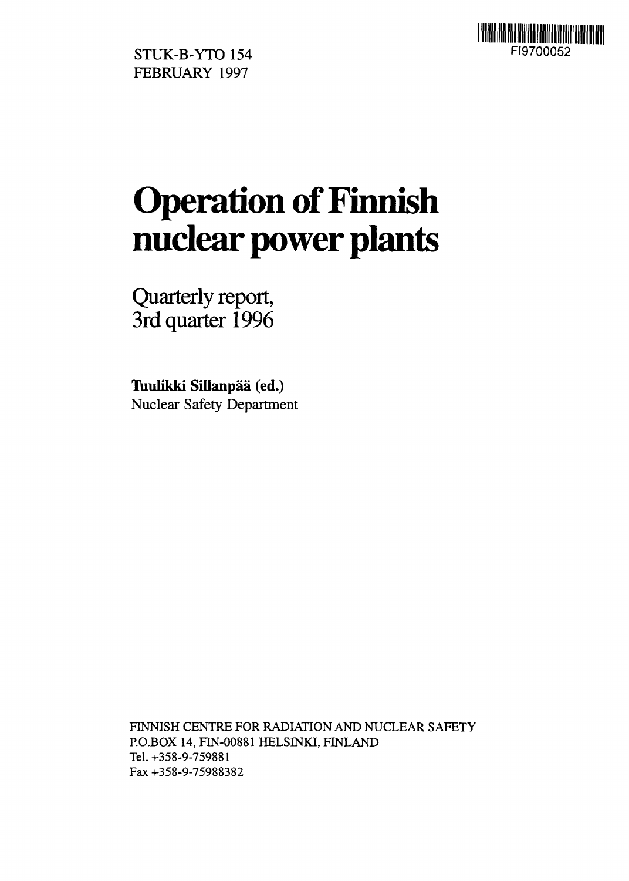

STUK-B-YTO 154 FI9700052 FEBRUARY 1997

# **Operation of Finnish nuclear power plants**

Quarterly report, 3rd quarter 1996

**Tuulikki SiUanpaa (ed.)** Nuclear Safety Department

FINNISH CENTRE FOR RADIATION AND NUCLEAR SAFETY RO.BOX 14, FIN-00881 HELSINKI, FINLAND Tel. +358-9-759881 Fax +358-9-75988382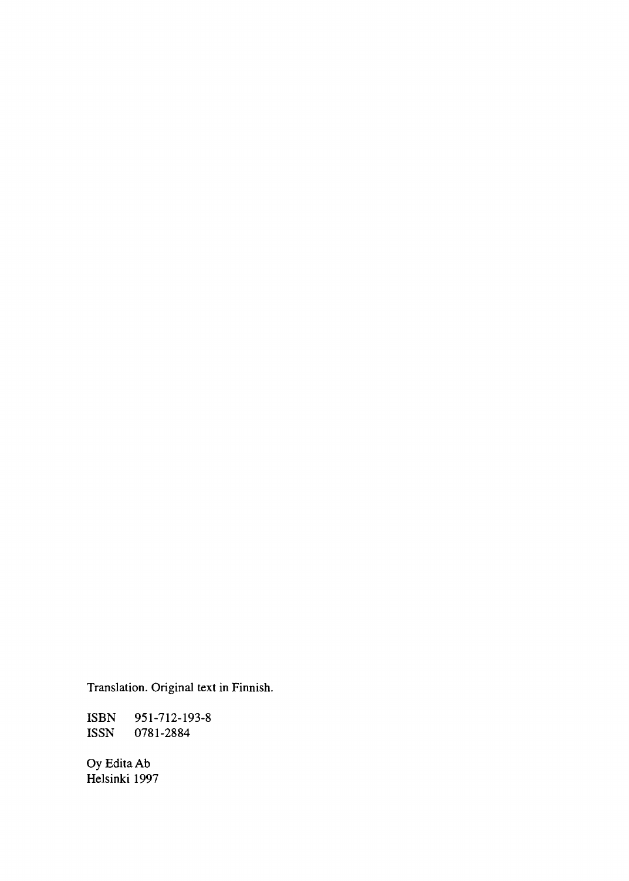Translation. Original text in Finnish.

ISBN 951-712-193-8<br>ISSN 0781-2884 0781-2884

Oy Edita Ab Helsinki 1997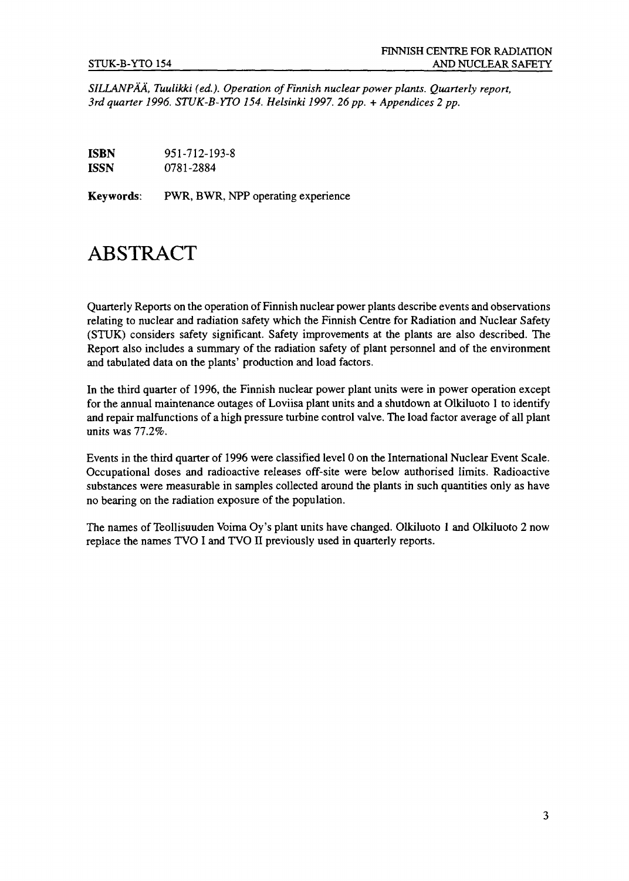*SILLANPAA, Tuulikki (ed.). Operation of Finnish nuclear power plants. Quarterly report,* 3rd quarter 1996. STUK-B-YTO 154. Helsinki 1997. 26 pp. + Appendices 2 pp.

**ISBN** 951-712-193-8 **ISSN** 0781-2884

**Keywords:** PWR, BWR, NPP operating experience

# ABSTRACT

Quarterly Reports on the operation of Finnish nuclear power plants describe events and observations relating to nuclear and radiation safety which the Finnish Centre for Radiation and Nuclear Safety (STUK) considers safety significant. Safety improvements at the plants are also described. The Report also includes a summary of the radiation safety of plant personnel and of the environment and tabulated data on the plants' production and load factors.

In the third quarter of 1996, the Finnish nuclear power plant units were in power operation except for the annual maintenance outages of Loviisa plant units and a shutdown at Olkiluoto 1 to identify and repair malfunctions of a high pressure turbine control valve. The load factor average of all plant units was 77.2%.

Events in the third quarter of 1996 were classified level 0 on the International Nuclear Event Scale. Occupational doses and radioactive releases off-site were below authorised limits. Radioactive substances were measurable in samples collected around the plants in such quantities only as have no bearing on the radiation exposure of the population.

The names of Teollisuuden Voima Oy's plant units have changed. Olkiluoto 1 and Olkiluoto 2 now replace the names TVO I and TVO II previously used in quarterly reports.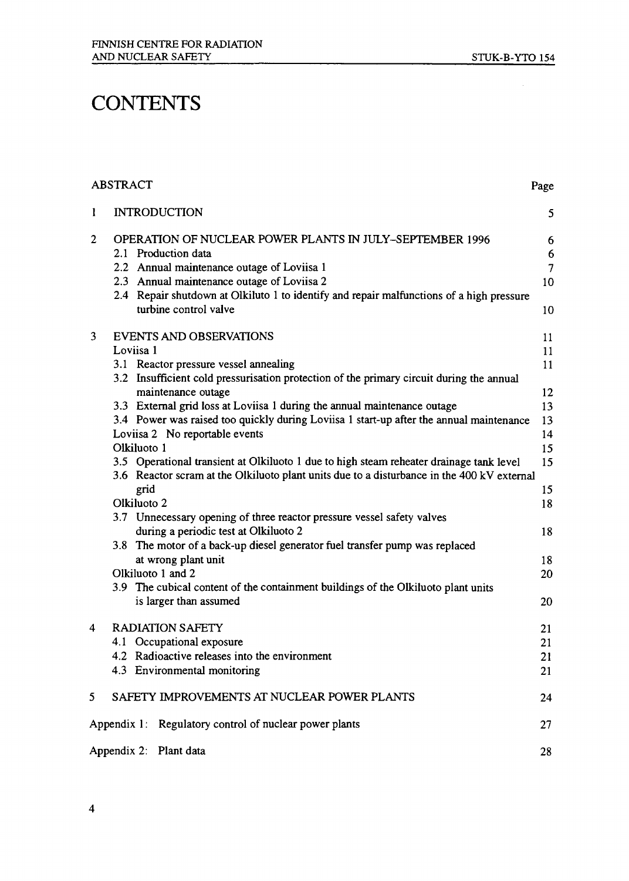# **CONTENTS**

#### ABSTRACT Page 1 INTRODUCTION 5 2 OPERATION OF NUCLEAR POWER PLANTS IN JULY-SEPTEMBER 1996 6 2.1 Production data 6<br>2.2 Annual maintenance outage of Loviisa 1 7 2.2 Annual maintenance outage of Loviisa 1 2.3 Annual maintenance outage of Loviisa 2 10 2.4 Repair shutdown at Olkiluto 1 to identify and repair malfunctions of a high pressure turbine control valve 10 3 EVENTS AND OBSERVATIONS 11  $Loviisa 1$ 3.1 Reactor pressure vessel annealing 11 and 12 and 12 and 13 and 13 and 14 and 14 and 15 and 16 and 17 and 17 and 17 and 17 and 17 and 17 and 17 and 17 and 17 and 17 and 17 and 17 and 17 and 17 and 17 and 17 and 17 and 17 3.2 Insufficient cold pressurisation protection of the primary circuit during the annual maintenance outage 12 3.3 External grid loss at Loviisa 1 during the annual maintenance outage 13 3.4 Power was raised too quickly during Loviisa 1 start-up after the annual maintenance 13 Loviisa 2 No reportable events 14 Olkiluoto 1 15 3.5 Operational transient at Olkiluoto 1 due to high steam reheater drainage tank level 15 3.6 Reactor scram at the Olkiluoto plant units due to a disturbance in the 400 kV external grid the contract of the contract of the contract of the contract of the contract of the contract of the contract of the contract of the contract of the contract of the contract of the contract of the contract of the contr Olkiluoto 2 18 3.7 Unnecessary opening of three reactor pressure vessel safety valves during a periodic test at Olkiluoto 2 18 3.8 The motor of a back-up diesel generator fuel transfer pump was replaced at wrong plant unit 18 Olkiluoto 1 and 2 20 3.9 The cubical content of the containment buildings of the Olkiluoto plant units is larger than assumed 20 4 RADIATION SAFETY 21 4.1 Occupational exposure 21 4.2 Radioactive releases into the environment 21 4.3 Environmental monitoring 21  $\frac{1}{2}$ .3 Environmental monitoring 21.3 Environmental monitoring 21.3 Environmental monitoring 21.3 Environmental monitoring 21.3 Environmental monitoring 21.3 Environmental monitoring 21.3 Environmental monitoring 21.3 SAFETY IMPROVEMENTS AT NUCLEAR POWER PLANTS 5 24  $\mathbf{11}$   $\mathbf{0}$   $\mathbf{0}$   $\mathbf{1}$   $\mathbf{1}$   $\mathbf{1}$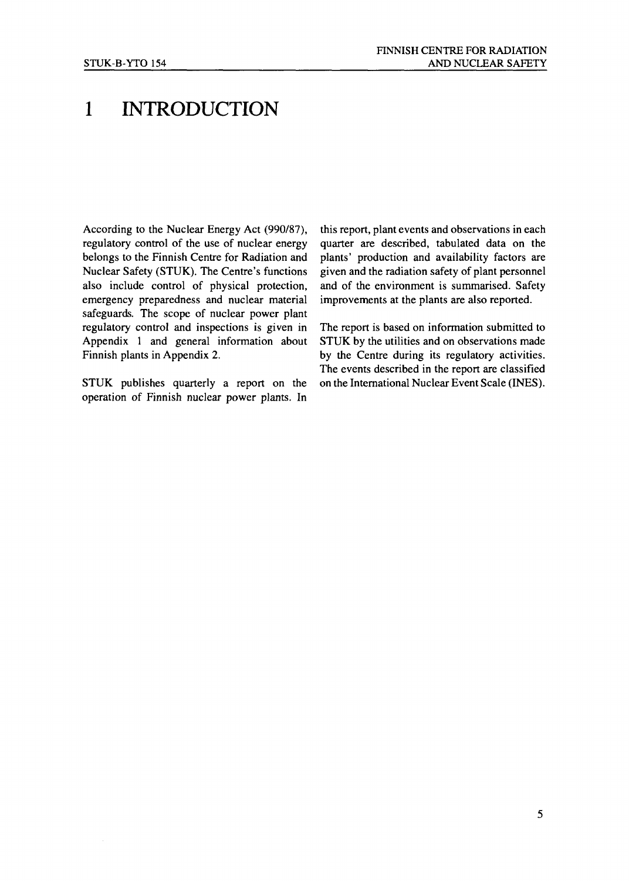# 1 INTRODUCTION

According to the Nuclear Energy Act (990/87), regulatory control of the use of nuclear energy belongs to the Finnish Centre for Radiation and Nuclear Safety (STUK). The Centre's functions also include control of physical protection, emergency preparedness and nuclear material safeguards. The scope of nuclear power plant regulatory control and inspections is given in Appendix 1 and general information about Finnish plants in Appendix 2.

STUK publishes quarterly a report on the operation of Finnish nuclear power plants. In

this report, plant events and observations in each quarter are described, tabulated data on the plants' production and availability factors are given and the radiation safety of plant personnel and of the environment is summarised. Safety improvements at the plants are also reported.

The report is based on information submitted to STUK by the utilities and on observations made by the Centre during its regulatory activities. The events described in the report are classified on the International Nuclear Event Scale (INES).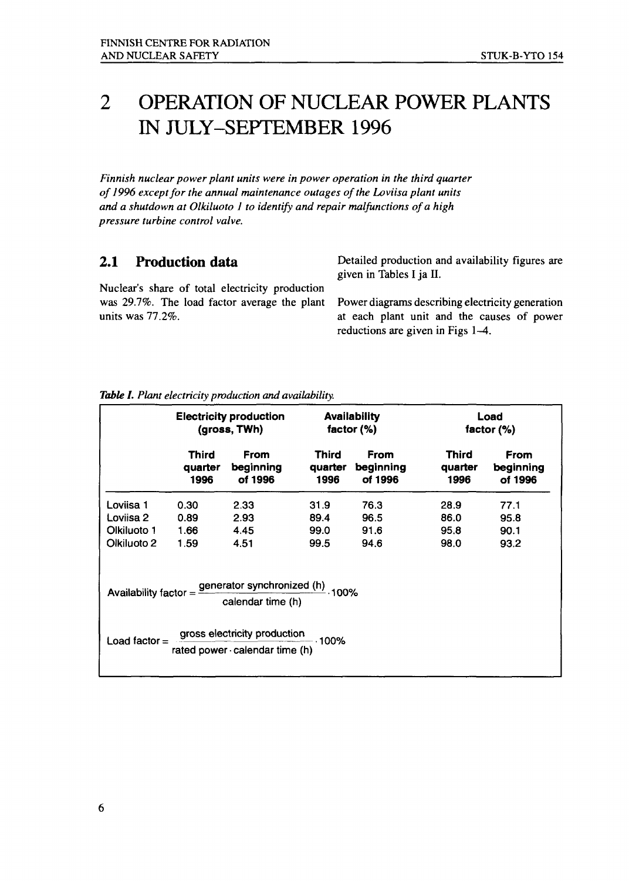#### OPERATION OF NUCLEAR POWER PLANTS  $\overline{2}$ IN JULY-SEPTEMBER 1996

*Finnish nuclear power plant units were in power operation in the third quarter of 1996 except for the annual maintenance outages of the Loviisa plant units and a shutdown at Olkiluoto 1 to identify and repair malfunctions of a high pressure turbine control valve.*

#### **2.1 Production data**

Nuclear's share of total electricity production was 29.7%. The load factor average the plant units was 77.2%.

Detailed production and availability figures are given in Tables I ja II.

Power diagrams describing electricity generation at each plant unit and the causes of power reductions are given in Figs 1-4.

|                 | <b>Electricity production</b><br>(gross, TWh) |                                                                                   | <b>Availability</b><br>factor $(\%)$ |                                     | Load<br>factor $(\%)$    |                                     |
|-----------------|-----------------------------------------------|-----------------------------------------------------------------------------------|--------------------------------------|-------------------------------------|--------------------------|-------------------------------------|
|                 | Third<br>quarter<br>1996                      | <b>From</b><br>beginning<br>of 1996                                               | <b>Third</b><br>quarter<br>1996      | <b>From</b><br>beginning<br>of 1996 | Third<br>quarter<br>1996 | <b>From</b><br>beginning<br>of 1996 |
| Loviisa 1       | 0.30                                          | 2.33                                                                              | 31.9                                 | 76.3                                | 28.9                     | 77.1                                |
| Loviisa 2       | 0.89                                          | 2.93                                                                              | 89.4                                 | 96.5                                | 86.0                     | 95.8                                |
| Olkiluoto 1     | 1.66                                          | 4.45                                                                              | 99.0                                 | 91.6                                | 95.8                     | 90.1                                |
| Olkiluoto 2     | 1.59                                          | 4.51                                                                              | 99.5                                 | 94.6                                | 98.0                     | 93.2                                |
|                 |                                               | Availability factor = <i>generator synchronized (h)</i> 100%<br>calendar time (h) |                                      |                                     |                          |                                     |
| Load factor $=$ |                                               | gross electricity production<br>rated power calendar time (h)                     |                                      |                                     |                          |                                     |
|                 |                                               |                                                                                   |                                      |                                     |                          |                                     |

*Table I. Plant electricity production and availability.*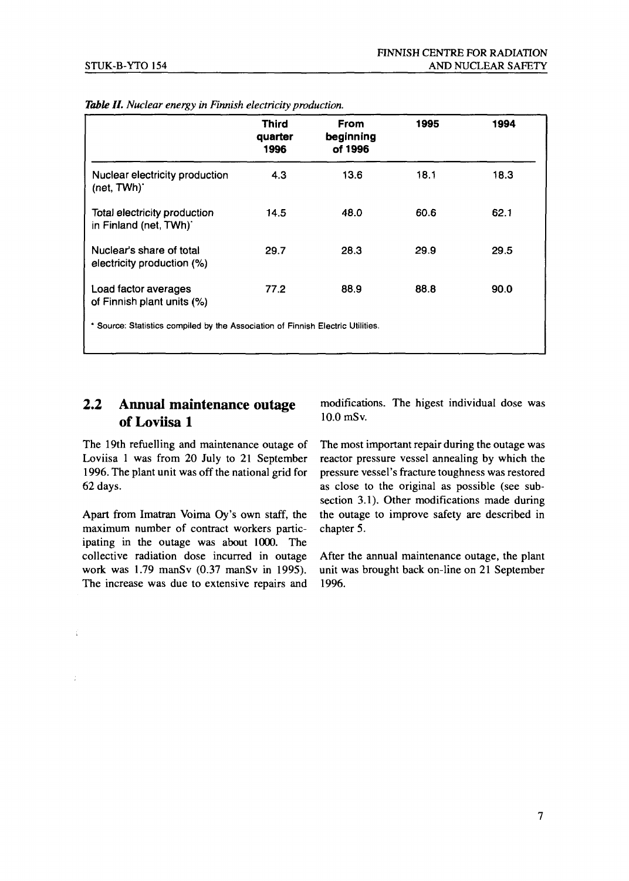|                                                                               | <b>Third</b><br>quarter<br>1996 | From<br>beginning<br>of 1996 | 1995 | 1994 |
|-------------------------------------------------------------------------------|---------------------------------|------------------------------|------|------|
| Nuclear electricity production<br>(net, TWh)'                                 | 4.3                             | 13.6                         | 18.1 | 18.3 |
| Total electricity production<br>in Finland (net, TWh)                         | 14.5                            | 48.0                         | 60.6 | 62.1 |
| Nuclear's share of total<br>electricity production (%)                        | 29.7                            | 28.3                         | 29.9 | 29.5 |
| Load factor averages<br>of Finnish plant units (%)                            | 77.2                            | 88.9                         | 88.8 | 90.0 |
| Source: Statistics compiled by the Association of Finnish Electric Utilities. |                                 |                              |      |      |

| Table II. Nuclear energy in Finnish electricity production. |  |  |  |  |
|-------------------------------------------------------------|--|--|--|--|
|-------------------------------------------------------------|--|--|--|--|

#### 2.2 Annual maintenance outage of Loviisa 1

The 19th refuelling and maintenance outage of Loviisa 1 was from 20 July to 21 September 1996. The plant unit was off the national grid for 62 days.

Apart from Imatran Voima Oy's own staff, the maximum number of contract workers participating in the outage was about 1000. The collective radiation dose incurred in outage work was 1.79 manSv (0.37 manSv in 1995). The increase was due to extensive repairs and

Í

modifications. The higest individual dose was 10.0 mSv.

The most important repair during the outage was reactor pressure vessel annealing by which the pressure vessel's fracture toughness was restored as close to the original as possible (see subsection 3.1). Other modifications made during the outage to improve safety are described in chapter 5.

After the annual maintenance outage, the plant unit was brought back on-line on 21 September 1996.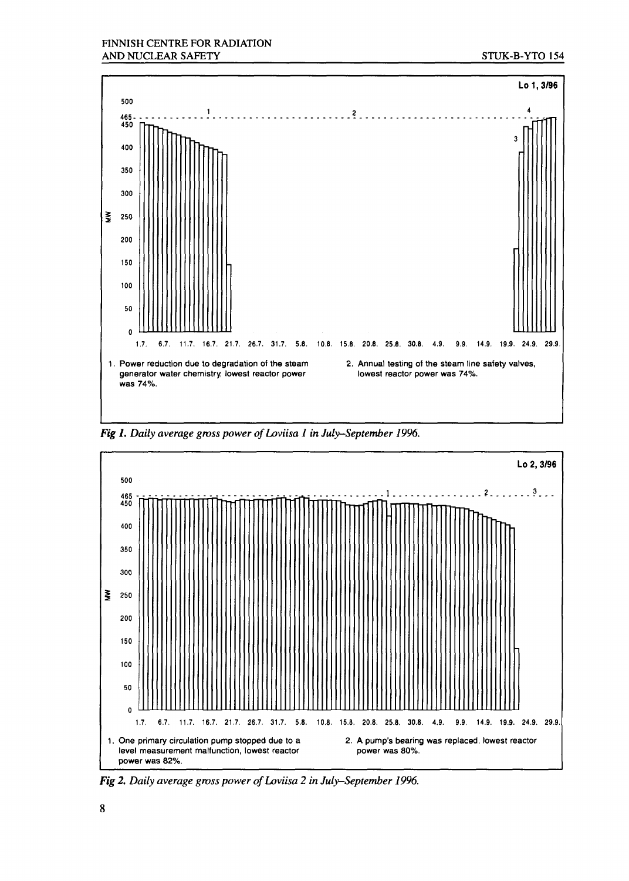

Fig 1. Daily average gross power of Loviisa 1 in July-September 1996.



Fig 2. Daily average gross power of Loviisa 2 in July-September 1996.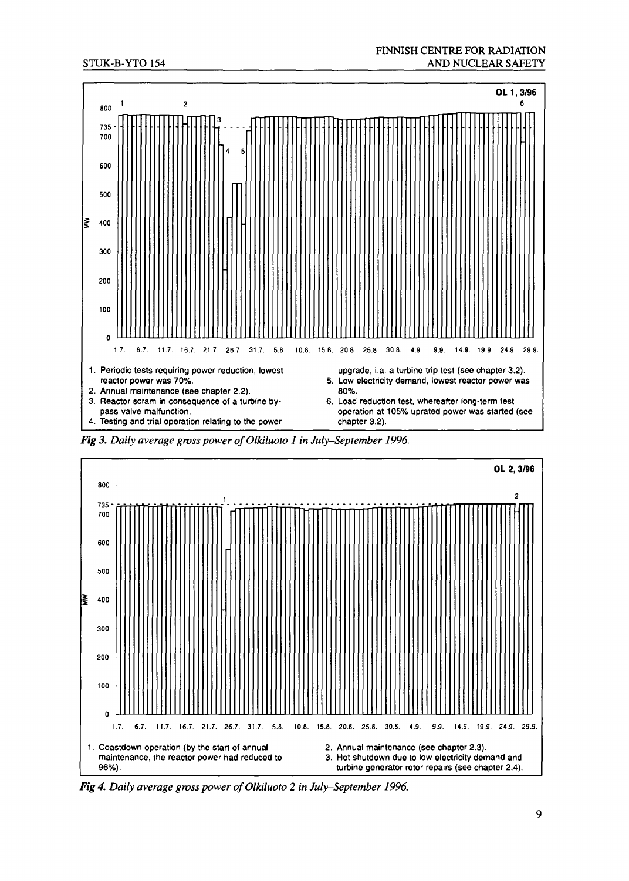

*Fig 3. Daily average gross power of Olkiluoto 1 in July-September 1996.* 



Fig 4. Daily average gross power of Olkiluoto 2 in July-September 1996.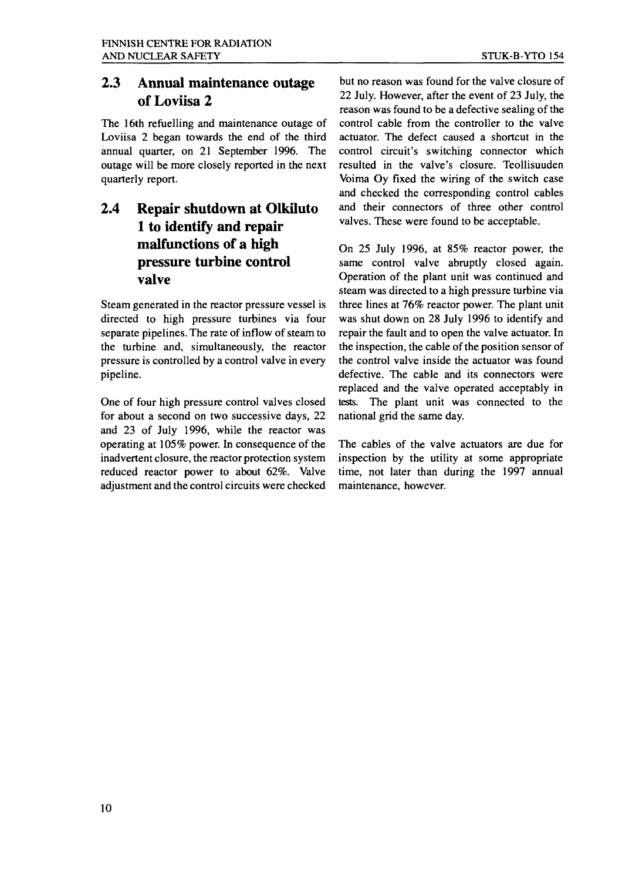#### **2.3 Annual maintenance outage of Loviisa 2**

The 16th refuelling and maintenance outage of Loviisa 2 began towards the end of the third annual quarter, on 21 September 1996. The outage will be more closely reported in the next quarterly report.

#### **2.4 Repair shutdown at Olkiluto 1 to identify and repair malfunctions of a high pressure turbine control valve**

Steam generated in the reactor pressure vessel is directed to high pressure turbines via four separate pipelines. The rate of inflow of steam to the turbine and, simultaneously, the reactor pressure is controlled by a control valve in every pipeline.

One of four high pressure control valves closed for about a second on two successive days, 22 and 23 of July 1996, while the reactor was operating at 105% power. In consequence of the inadvertent closure, the reactor protection system reduced reactor power to about 62%. Valve adjustment and the control circuits were checked

but no reason was found for the valve closure of 22 July. However, after the event of 23 July, the reason was found to be a defective sealing of the control cable from the controller to the valve actuator. The defect caused a shortcut in the control circuit's switching connector which resulted in the valve's closure. Teollisuuden Voima Oy fixed the wiring of the switch case and checked the corresponding control cables and their connectors of three other control valves. These were found to be acceptable.

On 25 July 1996, at 85% reactor power, the same control valve abruptly closed again. Operation of the plant unit was continued and steam was directed to a high pressure turbine via three lines at 76% reactor power. The plant unit was shut down on 28 July 1996 to identify and repair the fault and to open the valve actuator. In the inspection, the cable of the position sensor of the control valve inside the actuator was found defective. The cable and its connectors were replaced and the valve operated acceptably in tests. The plant unit was connected to the national grid the same day.

The cables of the valve actuators are due for inspection by the utility at some appropriate time, not later than during the 1997 annual maintenance, however.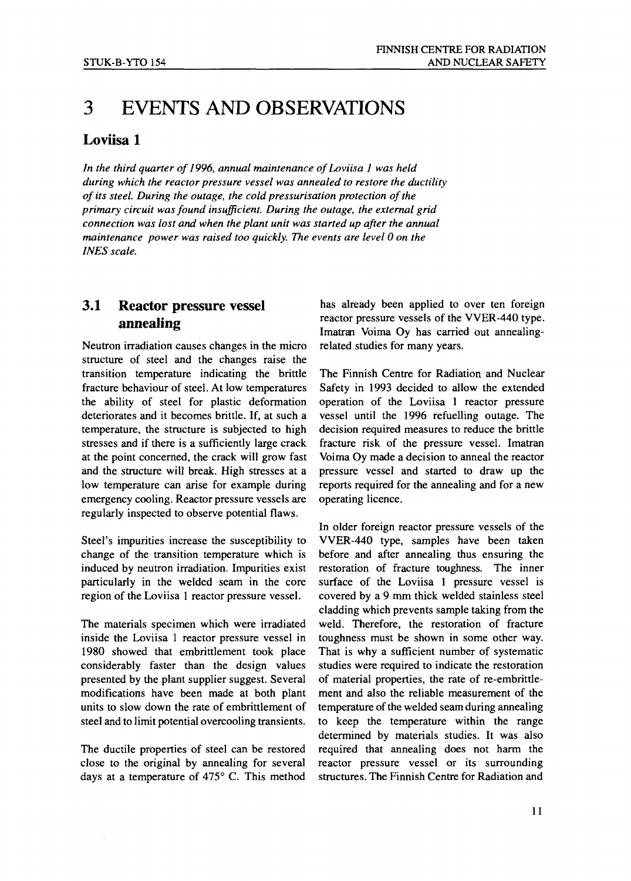# 3 EVENTS AND OBSERVATIONS

#### Loviisa 1

*In the third quarter of 1996, annual maintenance of Loviisa 1 was held during which the reactor pressure vessel was annealed to restore the ductility of its steel. During the outage, the cold pressurisation protection of the primary circuit was found insufficient. During the outage, the external grid connection was lost and when the plant unit was started up after the annual maintenance power was raised too quickly. The events are level 0 on the INES scale.*

#### 3.1 Reactor pressure vessel annealing

Neutron irradiation causes changes in the micro structure of steel and the changes raise the transition temperature indicating the brittle fracture behaviour of steel. At low temperatures the ability of steel for plastic deformation deteriorates and it becomes brittle. If, at such a temperature, the structure is subjected to high stresses and if there is a sufficiently large crack at the point concerned, the crack will grow fast and the structure will break. High stresses at a low temperature can arise for example during emergency cooling. Reactor pressure vessels are regularly inspected to observe potential flaws.

Steel's impurities increase the susceptibility to change of the transition temperature which is induced by neutron irradiation. Impurities exist particularly in the welded seam in the core region of the Loviisa 1 reactor pressure vessel.

The materials specimen which were irradiated inside the Loviisa 1 reactor pressure vessel in 1980 showed that embrittlement took place considerably faster than the design values presented by the plant supplier suggest. Several modifications have been made at both plant units to slow down the rate of embrittlement of steel and to limit potential overcooling transients.

The ductile properties of steel can be restored close to the original by annealing for several days at a temperature of 475° C. This method has already been applied to over ten foreign reactor pressure vessels of the VVER-440 type. Imatran Voima Oy has carried out annealingrelated studies for many years.

The Finnish Centre for Radiation and Nuclear Safety in 1993 decided to allow the extended operation of the Loviisa 1 reactor pressure vessel until the 1996 refuelling outage. The decision required measures to reduce the brittle fracture risk of the pressure vessel. Imatran Voima Oy made a decision to anneal the reactor pressure vessel and started to draw up the reports required for the annealing and for a new operating licence.

In older foreign reactor pressure vessels of the VVER-440 type, samples have been taken before and after annealing thus ensuring the restoration of fracture toughness. The inner surface of the Loviisa 1 pressure vessel is covered by a 9 mm thick welded stainless steel cladding which prevents sample taking from the weld. Therefore, the restoration of fracture toughness must be shown in some other way. That is why a sufficient number of systematic studies were required to indicate the restoration of material properties, the rate of re-embrittlement and also the reliable measurement of the temperature of the welded seam during annealing to keep the temperature within the range determined by materials studies. It was also required that annealing does not harm the reactor pressure vessel or its surrounding structures. The Finnish Centre for Radiation and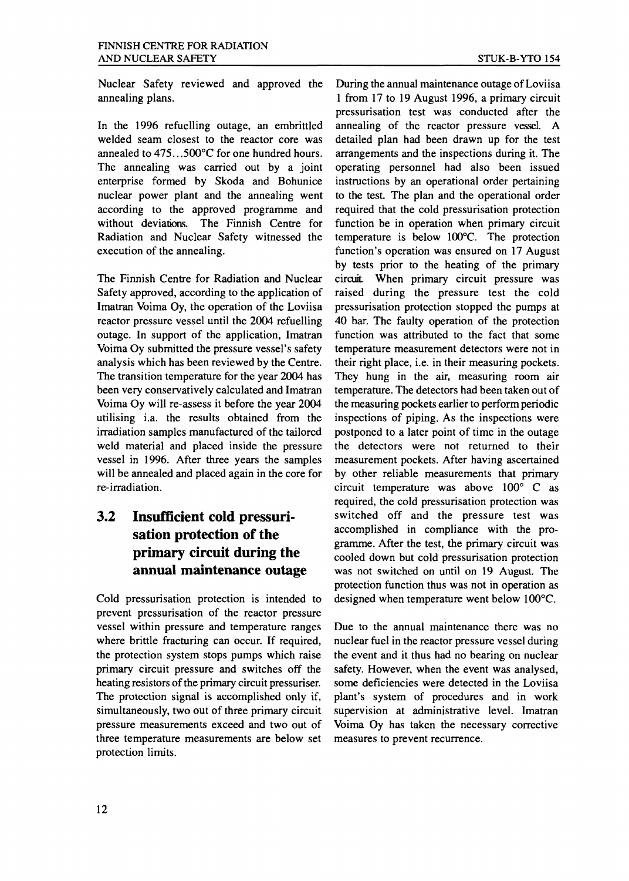Nuclear Safety reviewed and approved the annealing plans.

In the 1996 refuelling outage, an embrittled welded seam closest to the reactor core was annealed to 475.. .500°C for one hundred hours. The annealing was carried out by a joint enterprise formed by Skoda and Bohunice nuclear power plant and the annealing went according to the approved programme and without deviations. The Finnish Centre for Radiation and Nuclear Safety witnessed the execution of the annealing.

The Finnish Centre for Radiation and Nuclear Safety approved, according to the application of Imatran Voima Oy, the operation of the Loviisa reactor pressure vessel until the 2004 refuelling outage. In support of the application, Imatran Voima Oy submitted the pressure vessel's safety analysis which has been reviewed by the Centre. The transition temperature for the year 2004 has been very conservatively calculated and Imatran Voima Oy will re-assess it before the year 2004 utilising i.a. the results obtained from the irradiation samples manufactured of the tailored weld material and placed inside the pressure vessel in 1996. After three years the samples will be annealed and placed again in the core for re-irradiation.

#### **3.2 Insufficient cold pressurisation protection of the primary circuit during the annual maintenance outage**

Cold pressurisation protection is intended to prevent pressurisation of the reactor pressure vessel within pressure and temperature ranges where brittle fracturing can occur. If required, the protection system stops pumps which raise primary circuit pressure and switches off the heating resistors of the primary circuit pressuriser. The protection signal is accomplished only if, simultaneously, two out of three primary circuit pressure measurements exceed and two out of three temperature measurements are below set protection limits.

During the annual maintenance outage of Loviisa 1 from 17 to 19 August 1996, a primary circuit pressurisation test was conducted after the annealing of the reactor pressure vessel. A detailed plan had been drawn up for the test arrangements and the inspections during it. The operating personnel had also been issued instructions by an operational order pertaining to the test. The plan and the operational order required that the cold pressurisation protection function be in operation when primary circuit temperature is below 100°C. The protection function's operation was ensured on 17 August by tests prior to the heating of the primary circuit. When primary circuit pressure was raised during the pressure test the cold pressurisation protection stopped the pumps at 40 bar. The faulty operation of the protection function was attributed to the fact that some temperature measurement detectors were not in their right place, i.e. in their measuring pockets. They hung in the air, measuring room air temperature. The detectors had been taken out of the measuring pockets earlier to perform periodic inspections of piping. As the inspections were postponed to a later point of time in the outage the detectors were not returned to their measurement pockets. After having ascertained by other reliable measurements that primary circuit temperature was above 100° C as required, the cold pressurisation protection was switched off and the pressure test was accomplished in compliance with the programme. After the test, the primary circuit was cooled down but cold pressurisation protection was not switched on until on 19 August. The was not switched on until on 19 August. The protection function thus was not in operation as designed when temperature went below  $100^{\circ}$ C.

Due to the annual maintenance there was no nuclear fuel in the reactor pressure vessel during the event and it thus had no bearing on nuclear safety. However, when the event was analysed, some deficiencies were detected in the Loviisa plant's system of procedures and in work supervision at administrative level. Imatran Voima Oy has taken the necessary corrective measures to prevent recurrence.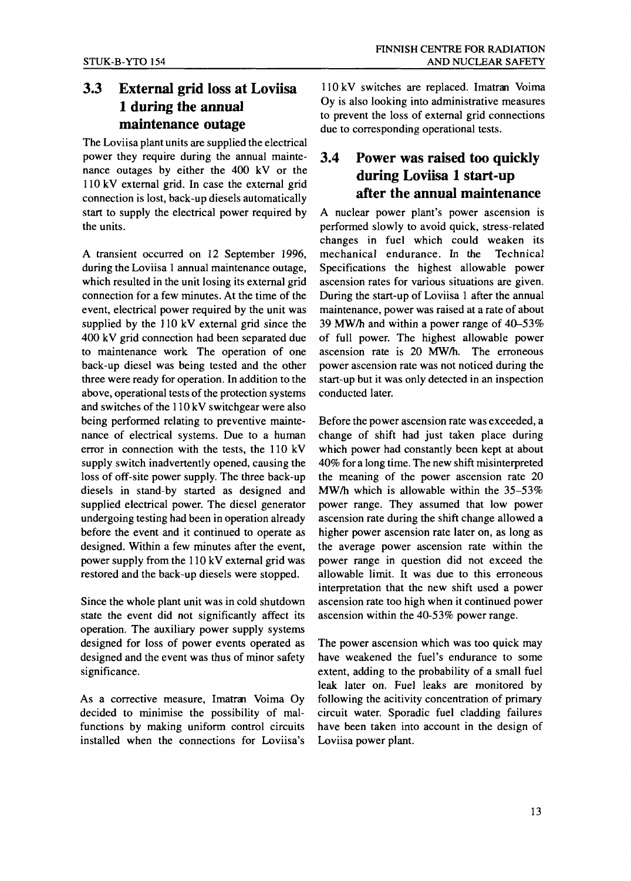#### 3.3 External grid loss at Loviisa 1 during the annual maintenance outage

The Loviisa plant units are supplied the electrical power they require during the annual maintenance outages by either the 400 kV or the 110 kV external grid. In case the external grid connection is lost, back-up diesels automatically start to supply the electrical power required by the units.

A transient occurred on 12 September 1996, during the Loviisa 1 annual maintenance outage, which resulted in the unit losing its external grid connection for a few minutes. At the time of the event, electrical power required by the unit was supplied by the 110 kV external grid since the 400 kV grid connection had been separated due to maintenance work The operation of one back-up diesel was being tested and the other three were ready for operation. In addition to the above, operational tests of the protection systems and switches of the 110 kV switchgear were also being performed relating to preventive maintenance of electrical systems. Due to a human error in connection with the tests, the 110 kV supply switch inadvertently opened, causing the loss of off-site power supply. The three back-up diesels in stand-by started as designed and supplied electrical power. The diesel generator undergoing testing had been in operation already before the event and it continued to operate as designed. Within a few minutes after the event, power supply from the 110 kV external grid was restored and the back-up diesels were stopped.

Since the whole plant unit was in cold shutdown state the event did not significantly affect its operation. The auxiliary power supply systems designed for loss of power events operated as designed and the event was thus of minor safety significance.

As a corrective measure, Imatran Voima Oy decided to minimise the possibility of malfunctions by making uniform control circuits installed when the connections for Loviisa's

110 kV switches are replaced. Imatran Voima Oy is also looking into administrative measures to prevent the loss of external grid connections due to corresponding operational tests.

#### 3.4 Power was raised too quickly during Loviisa 1 start-up after the annual maintenance

A nuclear power plant's power ascension is performed slowly to avoid quick, stress-related changes in fuel which could weaken its mechanical endurance. In the Technical Specifications the highest allowable power ascension rates for various situations are given. During the start-up of Loviisa 1 after the annual maintenance, power was raised at a rate of about 39 MW/h and within a power range of 40-53% of full power. The highest allowable power ascension rate is 20 MW/h. The erroneous power ascension rate was not noticed during the start-up but it was only detected in an inspection conducted later.

Before the power ascension rate was exceeded, a change of shift had just taken place during which power had constantly been kept at about 40% for a long time. The new shift misinterpreted the meaning of the power ascension rate 20 MW/h which is allowable within the 35-53% power range. They assumed that low power ascension rate during the shift change allowed a higher power ascension rate later on, as long as the average power ascension rate within the power range in question did not exceed the allowable limit. It was due to this erroneous interpretation that the new shift used a power ascension rate too high when it continued power ascension within the 40-53% power range.

The power ascension which was too quick may have weakened the fuel's endurance to some extent, adding to the probability of a small fuel leak later on. Fuel leaks are monitored by following the acitivity concentration of primary circuit water. Sporadic fuel cladding failures have been taken into account in the design of Loviisa power plant.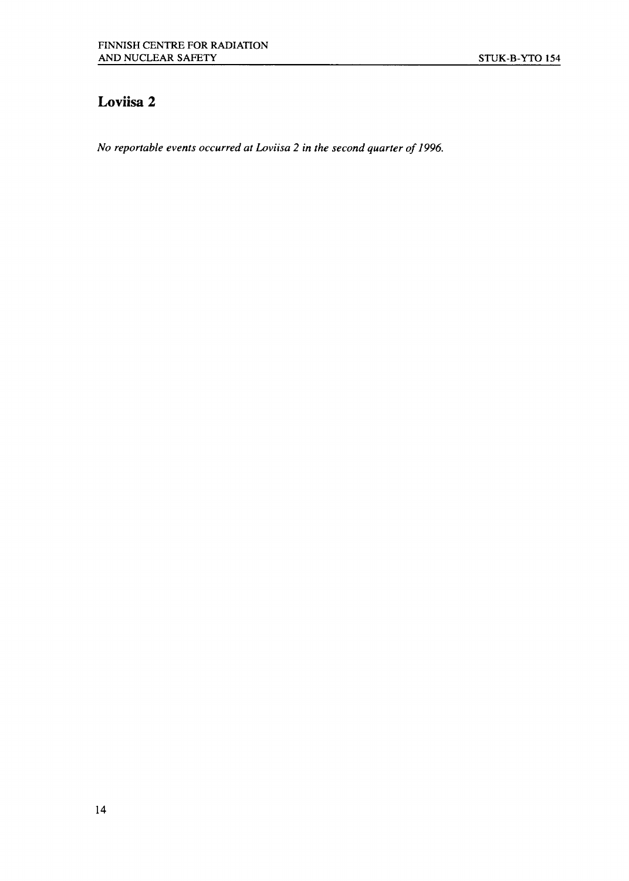### Loviisa 2

*No reportable events occurred at Loviisa 2 in the second quarter of 1996.*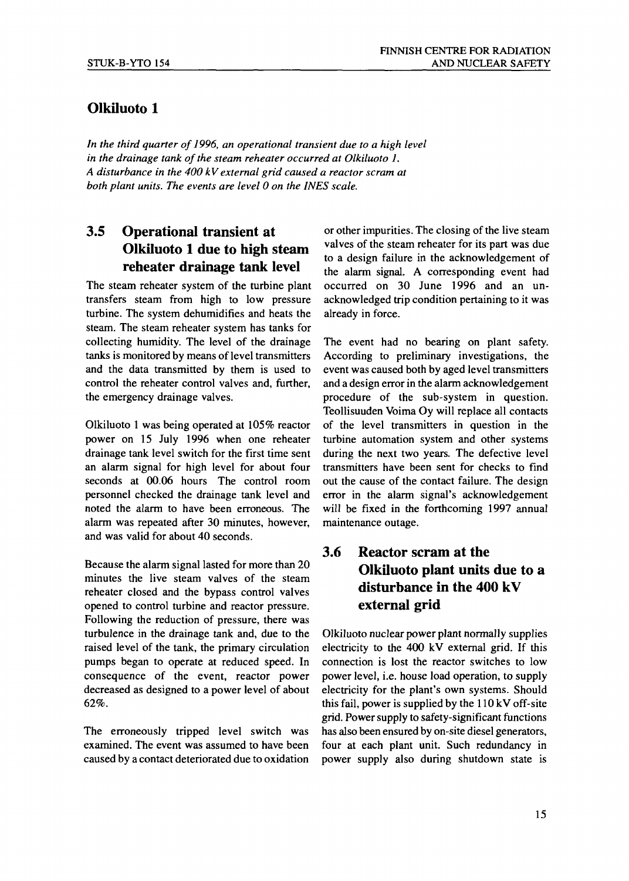#### **Olkiluoto 1**

*In the third quarter of 1996, an operational transient due to a high level in the drainage tank of the steam reheater occurred at Olkiluoto 1. A disturbance in the 400 kV external grid caused a reactor scram at both plant units. The events are level 0 on the INES scale.*

#### **3.5 Operational transient at Olkiluoto 1 due to high steam reheater drainage tank level**

The steam reheater system of the turbine plant transfers steam from high to low pressure turbine. The system dehumidifies and heats the steam. The steam reheater system has tanks for collecting humidity. The level of the drainage tanks is monitored by means of level transmitters and the data transmitted by them is used to control the reheater control valves and, further, the emergency drainage valves.

Olkiluoto 1 was being operated at 105% reactor power on 15 July 1996 when one reheater drainage tank level switch for the first time sent an alarm signal for high level for about four seconds at 00.06 hours The control room personnel checked the drainage tank level and noted the alarm to have been erroneous. The alarm was repeated after 30 minutes, however, and was valid for about 40 seconds.

Because the alarm signal lasted for more than 20 minutes the live steam valves of the steam reheater closed and the bypass control valves opened to control turbine and reactor pressure. Following the reduction of pressure, there was turbulence in the drainage tank and, due to the raised level of the tank, the primary circulation pumps began to operate at reduced speed. In consequence of the event, reactor power decreased as designed to a power level of about 62%.

The erroneously tripped level switch was examined. The event was assumed to have been caused by a contact deteriorated due to oxidation or other impurities. The closing of the live steam valves of the steam reheater for its part was due to a design failure in the acknowledgement of the alarm signal. A corresponding event had occurred on 30 June 1996 and an unacknowledged trip condition pertaining to it was already in force.

The event had no bearing on plant safety. According to preliminary investigations, the event was caused both by aged level transmitters and a design error in the alarm acknowledgement procedure of the sub-system in question. Teollisuuden Voima Oy will replace all contacts of the level transmitters in question in the turbine automation system and other systems during the next two years. The defective level transmitters have been sent for checks to find out the cause of the contact failure. The design error in the alarm signal's acknowledgement will be fixed in the forthcoming 1997 annual maintenance outage.

#### **3.6 Reactor scram at the Olkiluoto plant units due to a disturbance in the 400 kV external grid**

Olkiluoto nuclear power plant normally supplies electricity to the 400 kV external grid. If this connection is lost the reactor switches to low power level, i.e. house load operation, to supply electricity for the plant's own systems. Should this fail, power is supplied by the 110 kV off-site grid. Power supply to safety-significant functions has also been ensured by on-site diesel generators, four at each plant unit. Such redundancy in power supply also during shutdown state is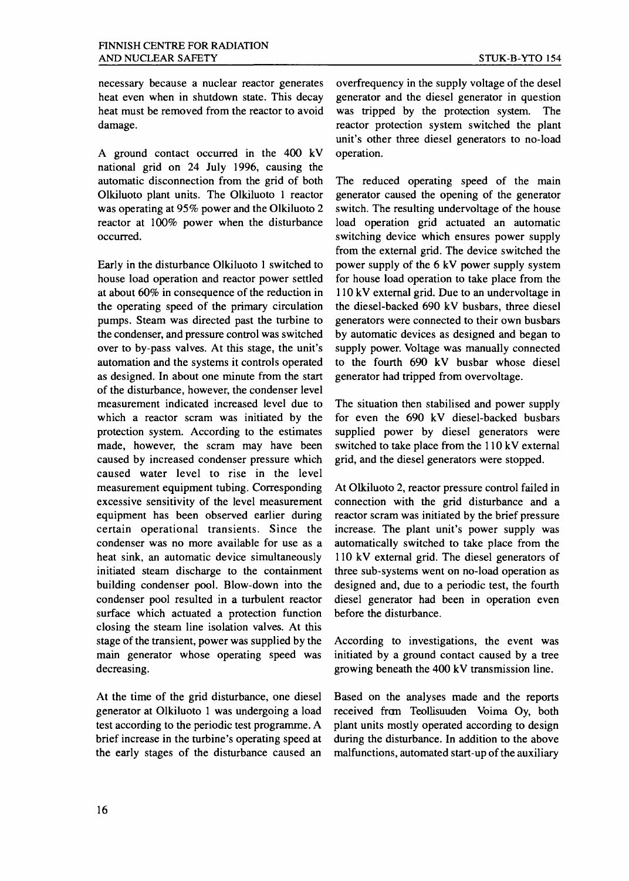necessary because a nuclear reactor generates heat even when in shutdown state. This decay heat must be removed from the reactor to avoid damage.

A ground contact occurred in the 400 kV national grid on 24 July 1996, causing the automatic disconnection from the grid of both Olkiluoto plant units. The Olkiluoto 1 reactor was operating at 95% power and the Olkiluoto 2 reactor at 100% power when the disturbance occurred.

Early in the disturbance Olkiluoto 1 switched to house load operation and reactor power settled at about 60% in consequence of the reduction in the operating speed of the primary circulation pumps. Steam was directed past the turbine to the condenser, and pressure control was switched over to by-pass valves. At this stage, the unit's automation and the systems it controls operated as designed. In about one minute from the start of the disturbance, however, the condenser level measurement indicated increased level due to which a reactor scram was initiated by the protection system. According to the estimates made, however, the scram may have been caused by increased condenser pressure which caused water level to rise in the level measurement equipment tubing. Corresponding excessive sensitivity of the level measurement equipment has been observed earlier during certain operational transients. Since the condenser was no more available for use as a heat sink, an automatic device simultaneously initiated steam discharge to the containment building condenser pool. Blow-down into the condenser pool resulted in a turbulent reactor surface which actuated a protection function closing the steam line isolation valves. At this stage of the transient, power was supplied by the main generator whose operating speed was decreasing.

At the time of the grid disturbance, one diesel generator at Olkiluoto 1 was undergoing a load test according to the periodic test programme. A brief increase in the turbine's operating speed at the early stages of the disturbance caused an overfrequency in the supply voltage of the desel generator and the diesel generator in question was tripped by the protection system. The reactor protection system switched the plant unit's other three diesel generators to no-load operation.

The reduced operating speed of the main generator caused the opening of the generator switch. The resulting undervoltage of the house load operation grid actuated an automatic switching device which ensures power supply from the external grid. The device switched the power supply of the 6 kV power supply system for house load operation to take place from the 110 kV external grid. Due to an undervoltage in the diesel-backed 690 kV busbars, three diesel generators were connected to their own busbars by automatic devices as designed and began to supply power. Voltage was manually connected to the fourth 690 kV busbar whose diesel generator had tripped from overvoltage.

The situation then stabilised and power supply for even the 690 kV diesel-backed busbars supplied power by diesel generators were switched to take place from the 110 kV external grid, and the diesel generators were stopped.

At Olkiluoto 2, reactor pressure control failed in connection with the grid disturbance and a reactor scram was initiated by the brief pressure increase. The plant unit's power supply was automatically switched to take place from the 110 kV external grid. The diesel generators of three sub-systems went on no-load operation as designed and, due to a periodic test, the fourth diesel generator had been in operation even before the disturbance.

According to investigations, the event was initiated by a ground contact caused by a tree growing beneath the 400 kV transmission line.

Based on the analyses made and the reports received fran Teollisuuden Voima Oy, both plant units mostly operated according to design during the disturbance. In addition to the above malfunctions, automated start-up of the auxiliary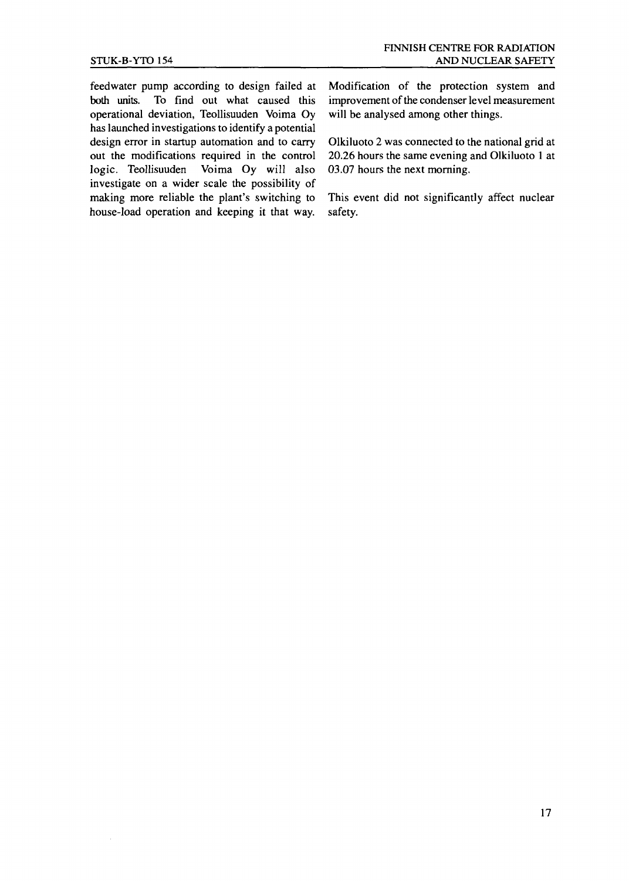feedwater pump according to design failed at both units. To find out what caused this operational deviation, Teollisuuden Voima Oy has launched investigations to identify a potential design error in startup automation and to carry out the modifications required in the control<br>logic. Teollisuuden Voima Oy will also Voima Oy will also investigate on a wider scale the possibility of making more reliable the plant's switching to house-load operation and keeping it that way.

Modification of the protection system and improvement of the condenser level measurement will be analysed among other things.

Olkiluoto 2 was connected to the national grid at 20.26 hours the same evening and Olkiluoto 1 at 03.07 hours the next morning.

This event did not significantly affect nuclear safety.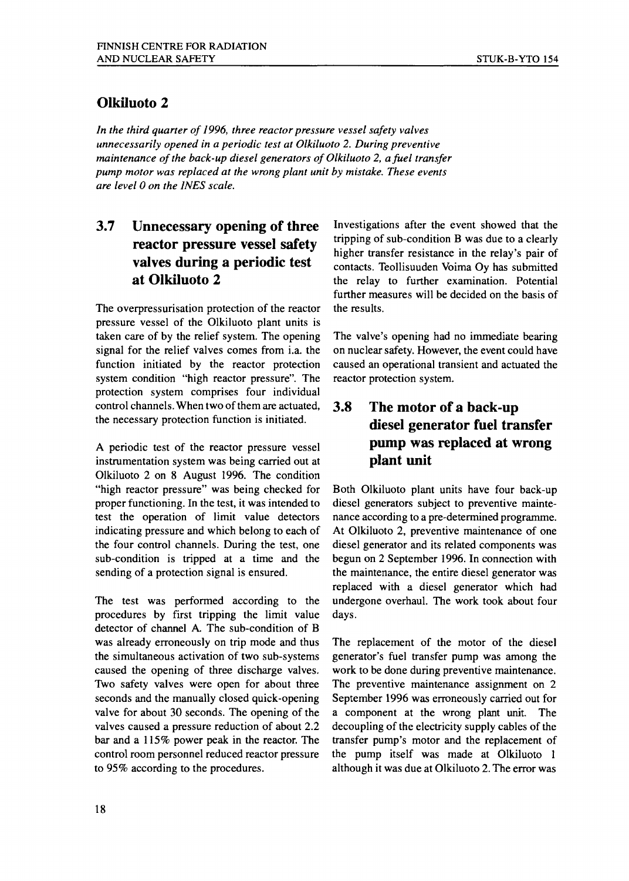#### **Olkiluoto 2**

*In the third quarter of 1996, three reactor pressure vessel safety valves unnecessarily opened in a periodic test at Olkiluoto 2. During preventive maintenance of the back-up diesel generators of Olkiluoto 2, a fuel transfer pump motor was replaced at the wrong plant unit by mistake. These events are level 0 on the INES scale.*

#### **3.7 Unnecessary opening of three reactor pressure vessel safety valves during a periodic test at Olkiluoto 2**

The overpressurisation protection of the reactor pressure vessel of the Olkiluoto plant units is taken care of by the relief system. The opening signal for the relief valves comes from i.a. the function initiated by the reactor protection system condition "high reactor pressure". The protection system comprises four individual control channels. When two of them are actuated, the necessary protection function is initiated.

A periodic test of the reactor pressure vessel instrumentation system was being carried out at Olkiluoto 2 on 8 August 1996. The condition "high reactor pressure" was being checked for proper functioning. In the test, it was intended to test the operation of limit value detectors indicating pressure and which belong to each of the four control channels. During the test, one sub-condition is tripped at a time and the sending of a protection signal is ensured.

The test was performed according to the procedures by first tripping the limit value detector of channel A. The sub-condition of B was already erroneously on trip mode and thus the simultaneous activation of two sub-systems caused the opening of three discharge valves. Two safety valves were open for about three seconds and the manually closed quick-opening valve for about 30 seconds. The opening of the valves caused a pressure reduction of about 2.2 bar and a 115% power peak in the reactor. The control room personnel reduced reactor pressure to 95% according to the procedures.

Investigations after the event showed that the tripping of sub-condition B was due to a clearly higher transfer resistance in the relay's pair of contacts. Teollisuuden Voima Oy has submitted the relay to further examination. Potential further measures will be decided on the basis of the results.

The valve's opening had no immediate bearing on nuclear safety. However, the event could have caused an operational transient and actuated the reactor protection system.

#### **3.8 The motor of a back-up diesel generator fuel transfer pump was replaced at wrong plant unit**

Both Olkiluoto plant units have four back-up diesel generators subject to preventive maintenance according to a pre-determined programme. At Olkiluoto 2, preventive maintenance of one diesel generator and its related components was begun on 2 September 1996. In connection with the maintenance, the entire diesel generator was replaced with a diesel generator which had undergone overhaul. The work took about four days.

The replacement of the motor of the diesel generator's fuel transfer pump was among the work to be done during preventive maintenance. The preventive maintenance assignment on 2 September 1996 was erroneously carried out for a component at the wrong plant unit. The decoupling of the electricity supply cables of the transfer pump's motor and the replacement of the pump itself was made at Olkiluoto 1 although it was due at Olkiluoto 2. The error was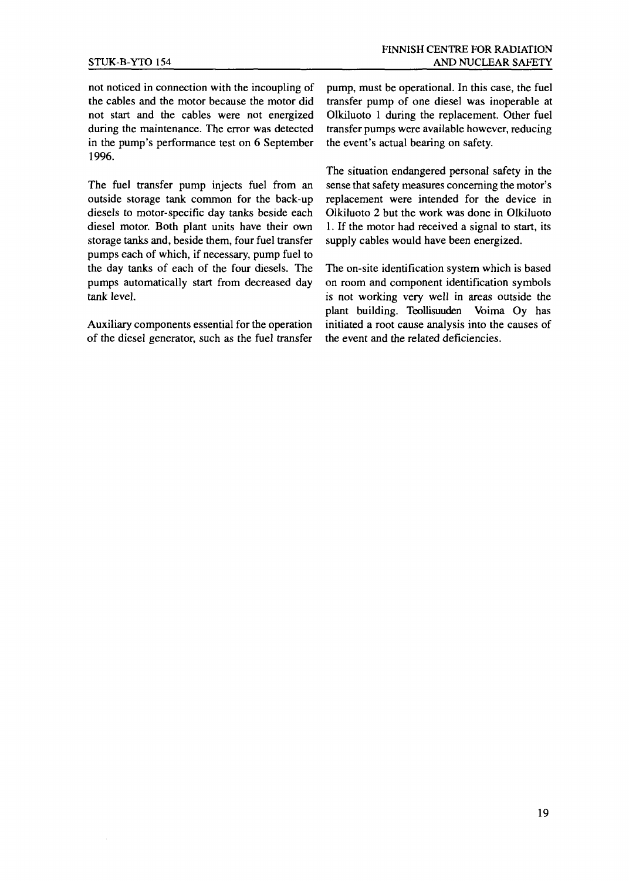not noticed in connection with the incoupling of the cables and the motor because the motor did not start and the cables were not energized during the maintenance. The error was detected in the pump's performance test on 6 September 1996.

The fuel transfer pump injects fuel from an outside storage tank common for the back-up diesels to motor-specific day tanks beside each diesel motor. Both plant units have their own storage tanks and, beside them, four fuel transfer pumps each of which, if necessary, pump fuel to the day tanks of each of the four diesels. The pumps automatically start from decreased day tank level.

Auxiliary components essential for the operation of the diesel generator, such as the fuel transfer

pump, must be operational. In this case, the fuel transfer pump of one diesel was inoperable at Olkiluoto 1 during the replacement. Other fuel transfer pumps were available however, reducing the event's actual bearing on safety.

The situation endangered personal safety in the sense that safety measures concerning the motor's replacement were intended for the device in Olkiluoto 2 but the work was done in Olkiluoto 1. If the motor had received a signal to start, its supply cables would have been energized.

The on-site identification system which is based on room and component identification symbols is not working very well in areas outside the plant building. Teollisuuden Voima Oy has initiated a root cause analysis into the causes of the event and the related deficiencies.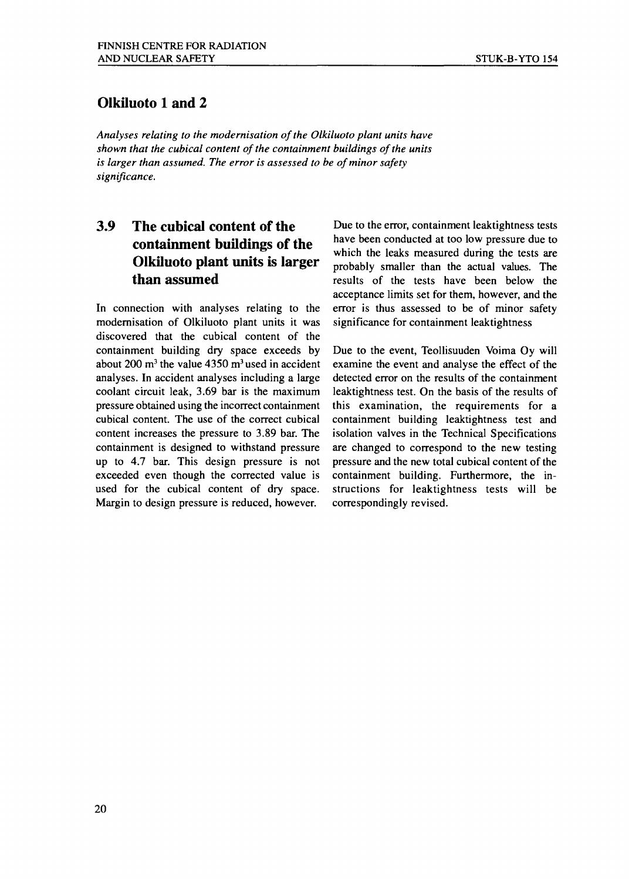#### **Olkiluoto 1 and 2**

*Analyses relating to the modernisation of the Olkiluoto plant units have shown that the cubical content of the containment buildings of the units is larger than assumed. The error is assessed to be of minor safety significance.*

#### **3.9 The cubical content of the containment buildings of the Olkiluoto plant units is larger than assumed**

In connection with analyses relating to the modernisation of Olkiluoto plant units it was discovered that the cubical content of the containment building dry space exceeds by about 200 m<sup>3</sup> the value  $4350 \text{ m}^3$  used in accident analyses. In accident analyses including a large coolant circuit leak, 3.69 bar is the maximum pressure obtained using the incorrect containment cubical content. The use of the correct cubical content increases the pressure to 3.89 bar. The containment is designed to withstand pressure up to 4.7 bar. This design pressure is not exceeded even though the corrected value is used for the cubical content of dry space. Margin to design pressure is reduced, however.

Due to the error, containment leaktightness tests have been conducted at too low pressure due to which the leaks measured during the tests are probably smaller than the actual values. The results of the tests have been below the acceptance limits set for them, however, and the error is thus assessed to be of minor safety significance for containment leaktightness

Due to the event, Teollisuuden Voima Oy will examine the event and analyse the effect of the detected error on the results of the containment leaktightness test. On the basis of the results of this examination, the requirements for a containment building leaktightness test and isolation valves in the Technical Specifications are changed to correspond to the new testing pressure and the new total cubical content of the containment building. Furthermore, the instructions for leaktightness tests will be correspondingly revised.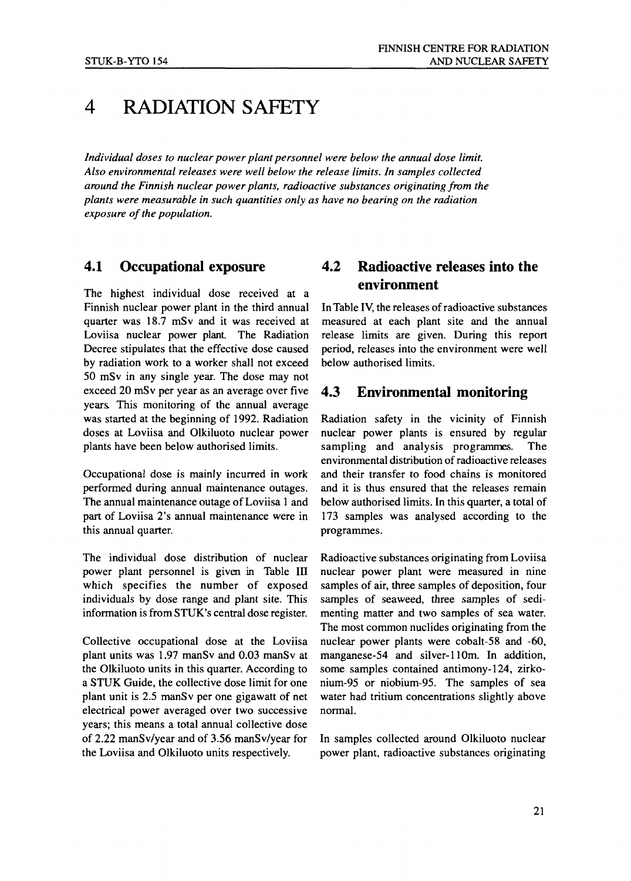# 4 RADIATION SAFETY

*Individual doses to nuclear power plant personnel were below the annual dose limit. Also environmental releases were well below the release limits. In samples collected around the Finnish nuclear power plants, radioactive substances originating from the plants were measurable in such quantities only as have no bearing on the radiation exposure of the population.*

#### 4.1 Occupational exposure

The highest individual dose received at a Finnish nuclear power plant in the third annual quarter was 18.7 mSv and it was received at Loviisa nuclear power plant. The Radiation Decree stipulates that the effective dose caused by radiation work to a worker shall not exceed 50 mSv in any single year. The dose may not exceed 20 mSv per year as an average over five years. This monitoring of the annual average was started at the beginning of 1992. Radiation doses at Loviisa and Olkiluoto nuclear power plants have been below authorised limits.

Occupational dose is mainly incurred in work performed during annual maintenance outages. The annual maintenance outage of Loviisa 1 and part of Loviisa 2's annual maintenance were in this annual quarter.

The individual dose distribution of nuclear power plant personnel is given in Table III which specifies the number of exposed individuals by dose range and plant site. This information is from STUK's central dose register.

Collective occupational dose at the Loviisa plant units was 1.97 manSv and 0.03 manSv at the Olkiluoto units in this quarter. According to a STUK Guide, the collective dose limit for one plant unit is 2.5 manSv per one gigawatt of net electrical power averaged over two successive years; this means a total annual collective dose of 2.22 manSv/year and of 3.56 manSv/year for the Loviisa and Olkiluoto units respectively.

#### 4.2 Radioactive releases into the environment

In Table IV, the releases of radioactive substances measured at each plant site and the annual release limits are given. During this report period, releases into the environment were well below authorised limits.

#### 4.3 Environmental monitoring

Radiation safety in the vicinity of Finnish nuclear power plants is ensured by regular sampling and analysis programmes. The environmental distribution of radioactive releases and their transfer to food chains is monitored and it is thus ensured that the releases remain below authorised limits. In this quarter, a total of 173 samples was analysed according to the programmes.

Radioactive substances originating from Loviisa nuclear power plant were measured in nine samples of air, three samples of deposition, four samples of seaweed, three samples of sedimenting matter and two samples of sea water. The most common nuclides originating from the nuclear power plants were cobalt-58 and -60, manganese-54 and silver-110m. In addition, some samples contained antimony-124, zirkonium-95 or niobium-95. The samples of sea water had tritium concentrations slightly above normal.

In samples collected around Olkiluoto nuclear power plant, radioactive substances originating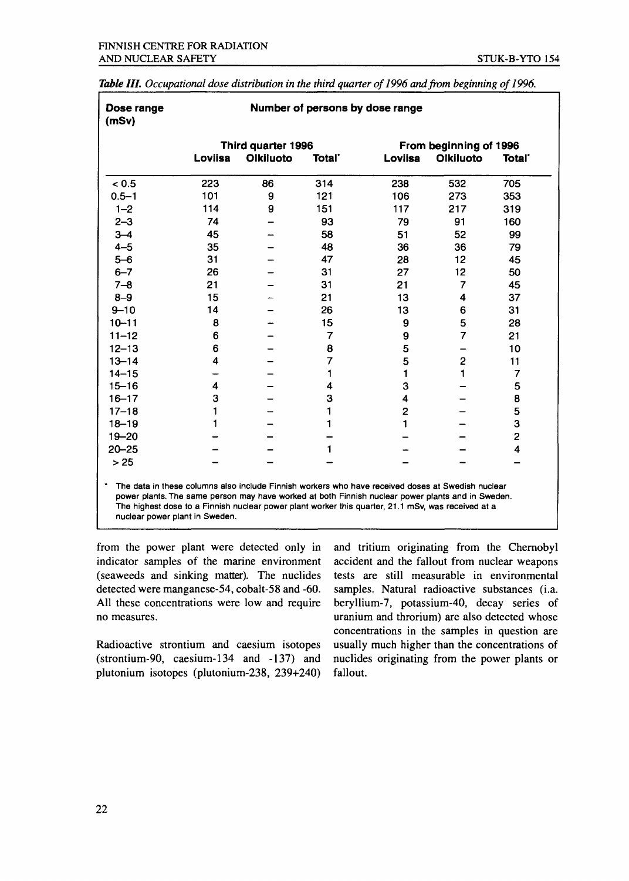|           | Third quarter 1996 |           |                    | From beginning of 1996 |                |                    |
|-----------|--------------------|-----------|--------------------|------------------------|----------------|--------------------|
|           | Loviisa            | Olkiluoto | Total <sup>*</sup> | Loviisa                | Olkiluoto      | Total <sup>-</sup> |
| < 0.5     | 223                | 86        | 314                | 238                    | 532            | 705                |
| $0.5 - 1$ | 101                | 9         | 121                | 106                    | 273            | 353                |
| $1 - 2$   | 114                | 9         | 151                | 117                    | 217            | 319                |
| $2 - 3$   | 74                 |           | 93                 | 79                     | 91             | 160                |
| $3 - 4$   | 45                 |           | 58                 | 51                     | 52             | 99                 |
| $4 - 5$   | 35                 |           | 48                 | 36                     | 36             | 79                 |
| $5 - 6$   | 31                 |           | 47                 | 28                     | 12             | 45                 |
| $6 - 7$   | 26                 |           | 31                 | 27                     | 12             | 50                 |
| $7 - 8$   | 21                 |           | 31                 | 21                     | 7              | 45                 |
| $8 - 9$   | 15                 |           | 21                 | 13                     | 4              | 37                 |
| $9 - 10$  | 14                 |           | 26                 | 13                     | 6              | 31                 |
| $10 - 11$ | 8                  |           | 15                 | 9                      | 5              | 28                 |
| $11 - 12$ | 6                  |           | 7                  | 9                      | 7              | 21                 |
| $12 - 13$ | 6                  |           | 8                  | 5                      |                | 10                 |
| $13 - 14$ | 4                  |           | 7                  | 5                      | $\overline{c}$ | 11                 |
| $14 - 15$ |                    |           | 1                  | $\mathbf{1}$           | 1              | 7                  |
| $15 - 16$ | 4                  |           | 4                  | 3                      |                | 5                  |
| $16 - 17$ | 3                  |           | 3                  | 4                      |                | 8                  |
| $17 - 18$ | 1                  |           | 1                  | 2                      |                | 5                  |
| $18 - 19$ | 1                  |           | 1                  | 1                      |                | 3                  |
| $19 - 20$ |                    |           |                    |                        |                | $\overline{2}$     |
| $20 - 25$ |                    |           | 1                  |                        |                | 4                  |
| >25       |                    |           |                    |                        |                |                    |

Table **III.** Occupational dose distribution in the third quarter of 1996 and from beginning of 1996.

from the power plant were detected only in indicator samples of the marine environment (seaweeds and sinking matter). The nuclides detected were manganese-54, cobalt-58 and -60. All these concentrations were low and require no measures.

Radioactive strontium and caesium isotopes (strontium-90, caesium-134 and -137) and plutonium isotopes (plutonium-238, 239+240)

and tritium originating from the Chernobyl accident and the fallout from nuclear weapons tests are still measurable in environmental samples. Natural radioactive substances (i.a. beryllium-7, potassium-40, decay series of uranium and throrium) are also detected whose concentrations in the samples in question are usually much higher than the concentrations of nuclides originating from the power plants or fallout.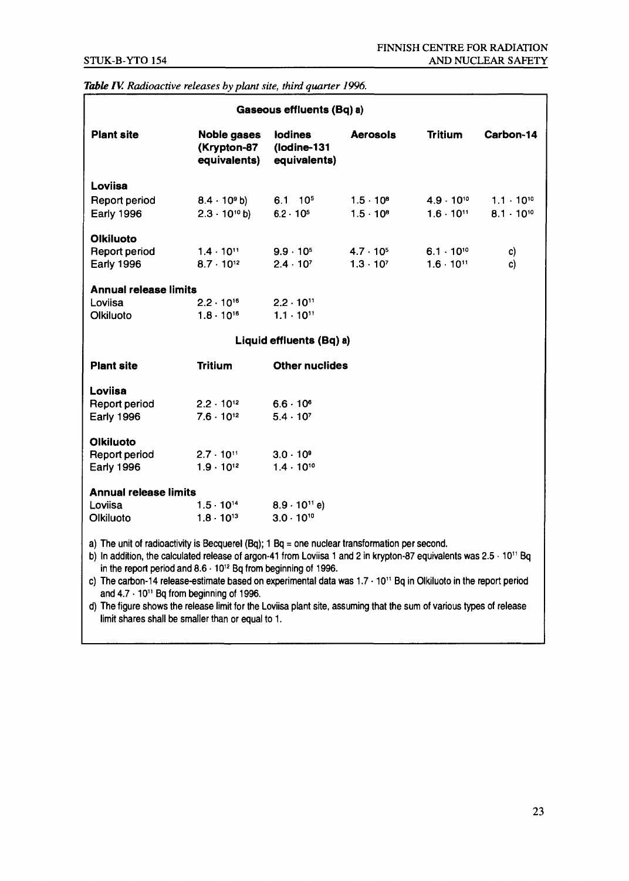#### *Table TV. Radioactive releases by plant site, third quarter 1996.*

| Gaseous effluents (Bq) a)                                                                                                                                                                                                                                                                                |                                                   |                                               |                                          |                                            |                                            |
|----------------------------------------------------------------------------------------------------------------------------------------------------------------------------------------------------------------------------------------------------------------------------------------------------------|---------------------------------------------------|-----------------------------------------------|------------------------------------------|--------------------------------------------|--------------------------------------------|
| <b>Plant site</b>                                                                                                                                                                                                                                                                                        | <b>Noble gases</b><br>(Krypton-87<br>equivalents) | <b>lodines</b><br>(lodine-131<br>equivalents) | <b>Aerosols</b>                          | <b>Tritium</b>                             | Carbon-14                                  |
| Loviisa<br>Report period<br>Early 1996                                                                                                                                                                                                                                                                   | $8.4 \cdot 10^9$ b)<br>$2.3 \cdot 10^{10}$ b)     | $6.1$ 10 <sup>5</sup><br>$6.2 \cdot 10^{5}$   | $1.5 \cdot 10^{8}$<br>$1.5 \cdot 10^{8}$ | $4.9 \cdot 10^{10}$<br>$1.6 \cdot 10^{11}$ | $1.1 \cdot 10^{10}$<br>$8.1 \cdot 10^{10}$ |
| <b>Olkiluoto</b><br><b>Report period</b><br><b>Early 1996</b>                                                                                                                                                                                                                                            | $1.4 \cdot 10^{11}$<br>$8.7 \cdot 10^{12}$        | $9.9 \cdot 10^{5}$<br>$2.4 \cdot 10^{7}$      | $4.7 \cdot 10^{5}$<br>$1.3 \cdot 10^{7}$ | $6.1 \cdot 10^{10}$<br>$1.6 \cdot 10^{11}$ | c)<br>c)                                   |
| <b>Annual release limits</b><br>Loviisa<br>Olkiluoto                                                                                                                                                                                                                                                     | $2.2 \cdot 10^{16}$<br>$1.8 \cdot 10^{16}$        | $2.2 \cdot 10^{11}$<br>$1.1 \cdot 10^{11}$    |                                          |                                            |                                            |
| Liquid effluents (Bq) a)                                                                                                                                                                                                                                                                                 |                                                   |                                               |                                          |                                            |                                            |
| <b>Plant site</b>                                                                                                                                                                                                                                                                                        | <b>Tritium</b>                                    | <b>Other nuclides</b>                         |                                          |                                            |                                            |
| Loviisa<br><b>Report period</b><br><b>Early 1996</b>                                                                                                                                                                                                                                                     | $2.2 \cdot 10^{12}$<br>$7.6 \cdot 10^{12}$        | $6.6 \cdot 10^{6}$<br>$5.4 \cdot 10^{7}$      |                                          |                                            |                                            |
| <b>Olkiluoto</b><br><b>Report period</b><br><b>Early 1996</b>                                                                                                                                                                                                                                            | $2.7 \cdot 10^{11}$<br>$1.9 \cdot 10^{12}$        | $3.0 - 10^9$<br>$1.4 \cdot 10^{10}$           |                                          |                                            |                                            |
| <b>Annual release limits</b><br>Loviisa<br>Olkiluoto                                                                                                                                                                                                                                                     | $1.5 \cdot 10^{14}$<br>$1.8 \cdot 10^{13}$        | $8.9 \cdot 10^{11}$ e)<br>$3.0 \cdot 10^{10}$ |                                          |                                            |                                            |
| a) The unit of radioactivity is Becquerel (Bq); 1 Bq = one nuclear transformation per second.<br>b) In addition, the calculated release of argon-41 from Loviisa 1 and 2 in krypton-87 equivalents was $2.5 \cdot 10^{11}$ Bq<br>in the report period and $8.6 \cdot 10^{12}$ Bq from beginning of 1996. |                                                   |                                               |                                          |                                            |                                            |

c) The carbon-14 release-estimate based on experimental data was 1.7 • 10" Bq in Olkiluoto in the report period and 4.7 • 10" Bq from beginning of 1996.

d) The figure shows the release limit for the Loviisa plant site, assuming that the sum of various types of release limit shares shall be smaller than or equal to 1.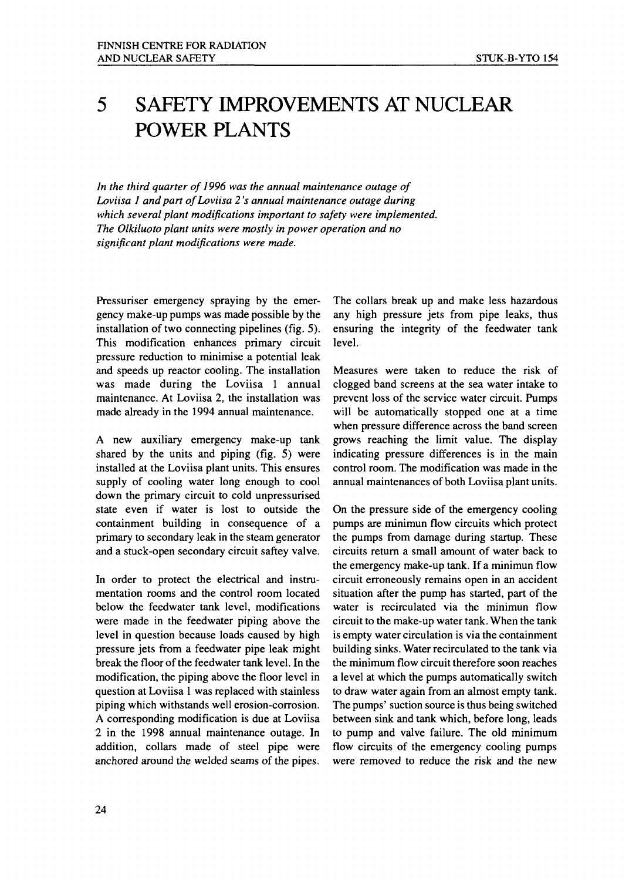# 5 SAFETY IMPROVEMENTS AT NUCLEAR POWER PLANTS

*In the third quarter of 1996 was the annual maintenance outage of Loviisa 1 and part ofLoviisa 2 's annual maintenance outage during which several plant modifications important to safety were implemented. The Olkiluoto plant units were mostly in power operation and no significant plant modifications were made.*

Pressuriser emergency spraying by the emergency make-up pumps was made possible by the installation of two connecting pipelines (fig. 5). This modification enhances primary circuit pressure reduction to minimise a potential leak and speeds up reactor cooling. The installation was made during the Loviisa 1 annual maintenance. At Loviisa 2, the installation was made already in the 1994 annual maintenance.

A new auxiliary emergency make-up tank shared by the units and piping (fig. 5) were installed at the Loviisa plant units. This ensures supply of cooling water long enough to cool down the primary circuit to cold unpressurised state even if water is lost to outside the containment building in consequence of a primary to secondary leak in the steam generator and a stuck-open secondary circuit saftey valve.

In order to protect the electrical and instrumentation rooms and the control room located below the feedwater tank level, modifications were made in the feedwater piping above the level in question because loads caused by high pressure jets from a feedwater pipe leak might break the floor of the feedwater tank level. In the modification, the piping above the floor level in question at Loviisa 1 was replaced with stainless piping which withstands well erosion-corrosion. A corresponding modification is due at Loviisa 2 in the 1998 annual maintenance outage. In addition, collars made of steel pipe were anchored around the welded seams of the pipes.

The collars break up and make less hazardous any high pressure jets from pipe leaks, thus ensuring the integrity of the feedwater tank level.

Measures were taken to reduce the risk of clogged band screens at the sea water intake to prevent loss of the service water circuit. Pumps will be automatically stopped one at a time when pressure difference across the band screen grows reaching the limit value. The display indicating pressure differences is in the main control room. The modification was made in the annual maintenances of both Loviisa plant units.

On the pressure side of the emergency cooling pumps are minimun flow circuits which protect the pumps from damage during startup. These circuits return a small amount of water back to the emergency make-up tank. If a minimun flow circuit erroneously remains open in an accident situation after the pump has started, part of the water is recirculated via the minimun flow circuit to the make-up water tank. When the tank is empty water circulation is via the containment building sinks. Water recirculated to the tank via the minimum flow circuit therefore soon reaches a level at which the pumps automatically switch to draw water again from an almost empty tank. The pumps' suction source is thus being switched between sink and tank which, before long, leads to pump and valve failure. The old minimum flow circuits of the emergency cooling pumps were removed to reduce the risk and the new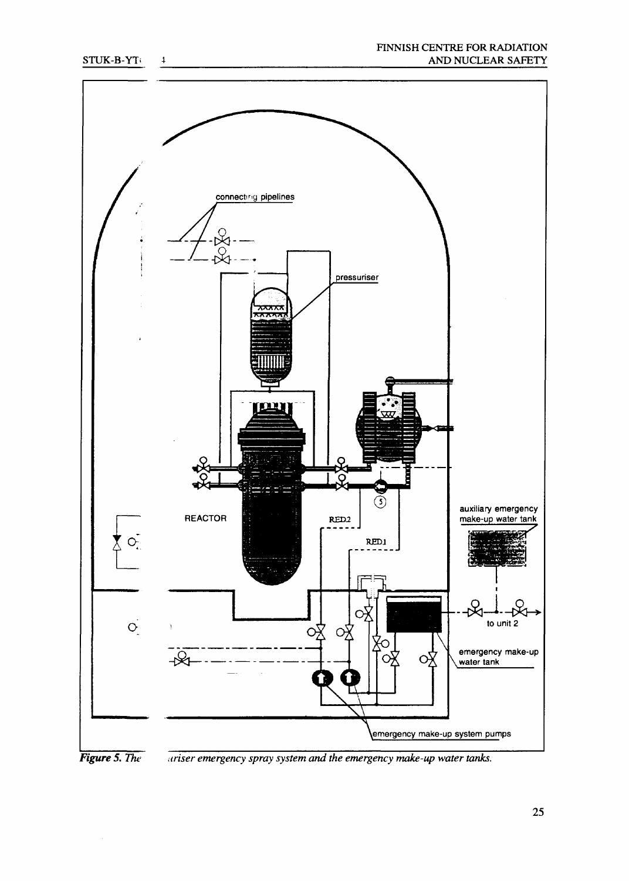#### FINNISH CENTRE FOR RADIATION AND NUCLEAR SAFETY





*Figure 5. The uriser emergency spray system and the emergency make-up water tanks.*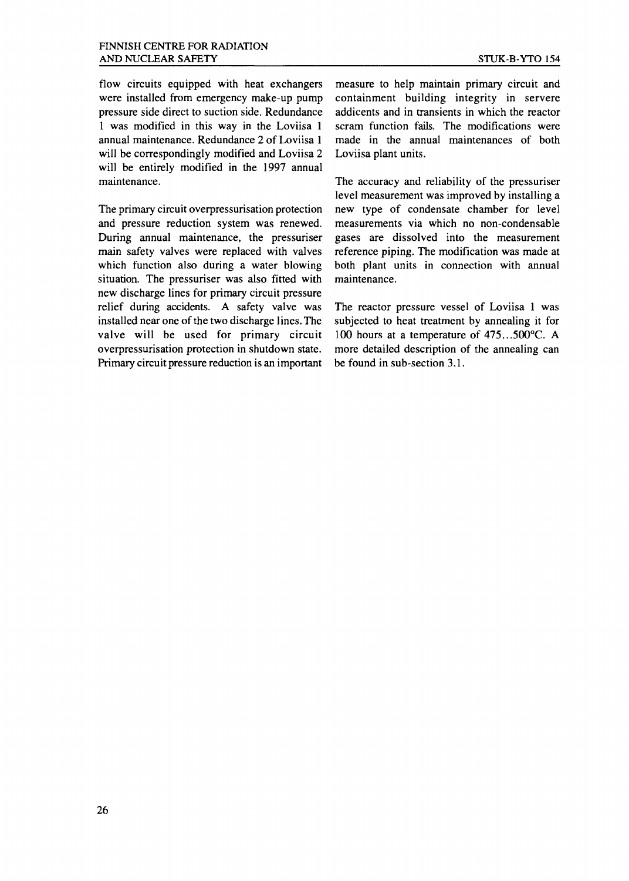flow circuits equipped with heat exchangers were installed from emergency make-up pump pressure side direct to suction side. Redundance 1 was modified in this way in the Loviisa 1 annual maintenance. Redundance 2 of Loviisa 1 will be correspondingly modified and Loviisa 2 will be entirely modified in the 1997 annual maintenance.

The primary circuit overpressurisation protection and pressure reduction system was renewed. During annual maintenance, the pressuriser main safety valves were replaced with valves which function also during a water blowing situation. The pressuriser was also fitted with new discharge lines for primary circuit pressure relief during accidents. A safety valve was installed near one of the two discharge lines. The valve will be used for primary circuit overpressurisation protection in shutdown state. Primary circuit pressure reduction is an important

measure to help maintain primary circuit and containment building integrity in servere addicents and in transients in which the reactor scram function fails. The modifications were made in the annual maintenances of both Loviisa plant units.

The accuracy and reliability of the pressuriser level measurement was improved by installing a new type of condensate chamber for level measurements via which no non-condensable gases are dissolved into the measurement reference piping. The modification was made at both plant units in connection with annual maintenance.

The reactor pressure vessel of Loviisa 1 was subjected to heat treatment by annealing it for 100 hours at a temperature of 475...500°C. A more detailed description of the annealing can be found in sub-section 3.1.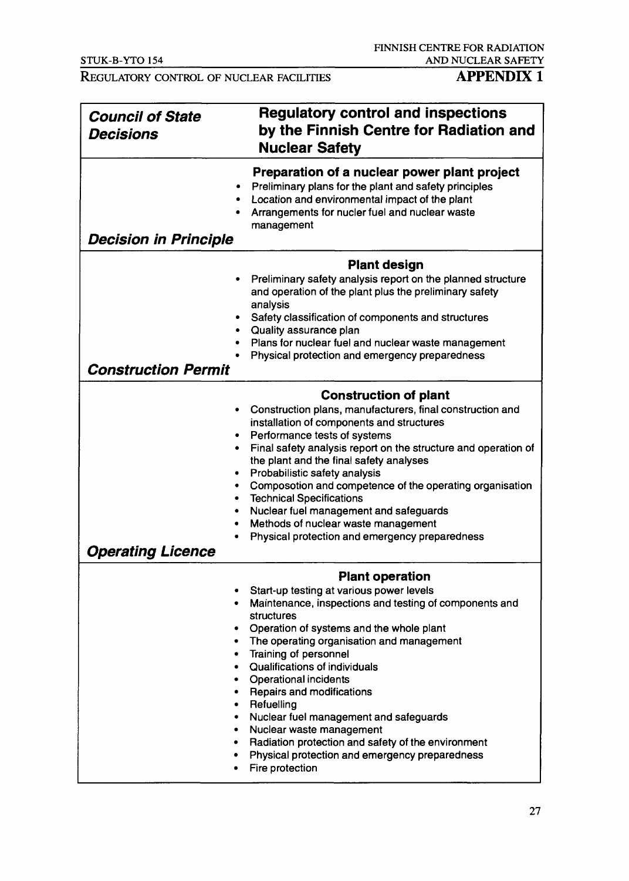## REGULATORY CONTROL OF NUCLEAR FACILITIES **APPENDIX 1**

| <b>Council of State</b><br><b>Decisions</b>                         | <b>Regulatory control and inspections</b><br>by the Finnish Centre for Radiation and<br><b>Nuclear Safety</b>                                                                                                                                                                                                                                                                                                                                                                                                                                            |
|---------------------------------------------------------------------|----------------------------------------------------------------------------------------------------------------------------------------------------------------------------------------------------------------------------------------------------------------------------------------------------------------------------------------------------------------------------------------------------------------------------------------------------------------------------------------------------------------------------------------------------------|
| <b>Decision in Principle</b>                                        | Preparation of a nuclear power plant project<br>Preliminary plans for the plant and safety principles<br>Location and environmental impact of the plant<br>Arrangements for nucler fuel and nuclear waste<br>management                                                                                                                                                                                                                                                                                                                                  |
|                                                                     | <b>Plant design</b>                                                                                                                                                                                                                                                                                                                                                                                                                                                                                                                                      |
| $\bullet$                                                           | Preliminary safety analysis report on the planned structure<br>and operation of the plant plus the preliminary safety<br>analysis                                                                                                                                                                                                                                                                                                                                                                                                                        |
| ٠<br>$\bullet$                                                      | Safety classification of components and structures<br>Quality assurance plan                                                                                                                                                                                                                                                                                                                                                                                                                                                                             |
| ۰                                                                   | Plans for nuclear fuel and nuclear waste management                                                                                                                                                                                                                                                                                                                                                                                                                                                                                                      |
|                                                                     | Physical protection and emergency preparedness                                                                                                                                                                                                                                                                                                                                                                                                                                                                                                           |
| <b>Construction Permit</b>                                          |                                                                                                                                                                                                                                                                                                                                                                                                                                                                                                                                                          |
|                                                                     | <b>Construction of plant</b>                                                                                                                                                                                                                                                                                                                                                                                                                                                                                                                             |
| ٠<br>٠<br>٠<br><b>Operating Licence</b>                             | Construction plans, manufacturers, final construction and<br>installation of components and structures<br>Performance tests of systems<br>Final safety analysis report on the structure and operation of<br>the plant and the final safety analyses<br>Probabilistic safety analysis<br>Composotion and competence of the operating organisation<br><b>Technical Specifications</b><br>Nuclear fuel management and safeguards<br>Methods of nuclear waste management<br>Physical protection and emergency preparedness                                   |
|                                                                     |                                                                                                                                                                                                                                                                                                                                                                                                                                                                                                                                                          |
|                                                                     | <b>Plant operation</b>                                                                                                                                                                                                                                                                                                                                                                                                                                                                                                                                   |
| ٠<br>۰<br>٠<br>٠<br>٠<br>$\bullet$<br>$\bullet$<br>٠<br>٠<br>٠<br>٠ | Start-up testing at various power levels<br>Maintenance, inspections and testing of components and<br>structures<br>Operation of systems and the whole plant<br>The operating organisation and management<br>• Training of personnel<br>Qualifications of individuals<br><b>Operational incidents</b><br><b>Repairs and modifications</b><br>Refuelling<br>Nuclear fuel management and safeguards<br>Nuclear waste management<br>Radiation protection and safety of the environment<br>Physical protection and emergency preparedness<br>Fire protection |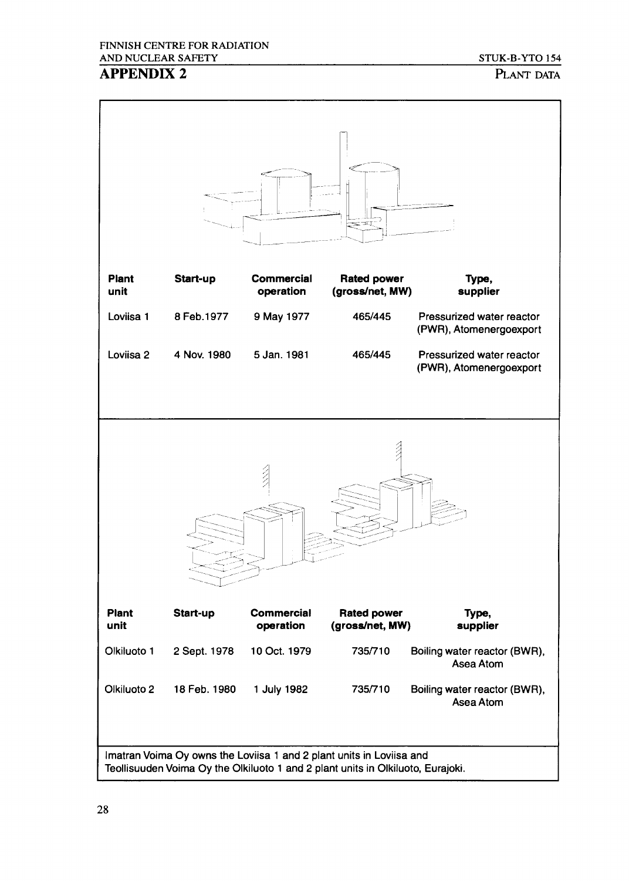